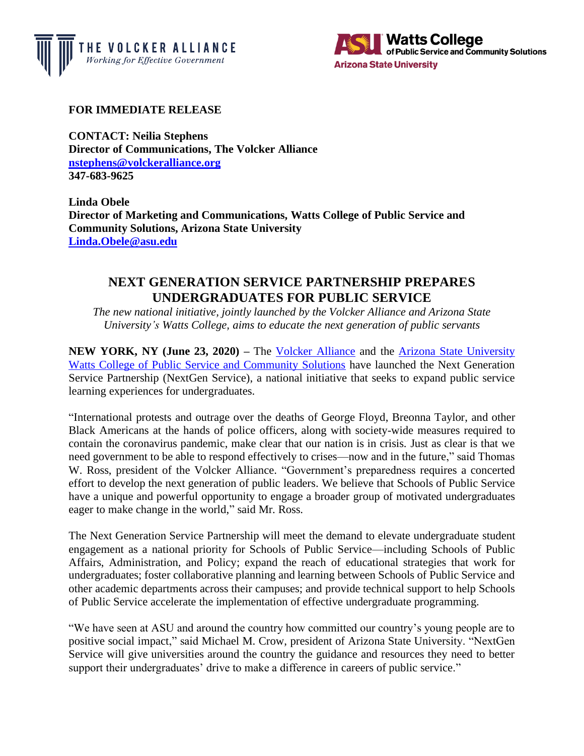



## **FOR IMMEDIATE RELEASE**

**CONTACT: Neilia Stephens Director of Communications, The Volcker Alliance [nstephens@volckeralliance.org](mailto:nstephens@volckeralliance.org) 347-683-9625**

**Linda Obele Director of Marketing and Communications, Watts College of Public Service and Community Solutions, Arizona State University [Linda.Obele@asu.edu](mailto:Linda.Obele@asu.edu)**

## **NEXT GENERATION SERVICE PARTNERSHIP PREPARES UNDERGRADUATES FOR PUBLIC SERVICE**

*The new national initiative, jointly launched by the Volcker Alliance and Arizona State University's Watts College, aims to educate the next generation of public servants*

**NEW YORK, NY (June 23, 2020) – The [Volcker Alliance](http://www.volckeralliance.org/) and the Arizona State University** [Watts College of Public Service and Community Solutions](https://publicservice.asu.edu/) have launched the Next Generation Service Partnership (NextGen Service), a national initiative that seeks to expand public service learning experiences for undergraduates.

"International protests and outrage over the deaths of George Floyd, Breonna Taylor, and other Black Americans at the hands of police officers, along with society-wide measures required to contain the coronavirus pandemic, make clear that our nation is in crisis. Just as clear is that we need government to be able to respond effectively to crises—now and in the future," said Thomas W. Ross, president of the Volcker Alliance. "Government's preparedness requires a concerted effort to develop the next generation of public leaders. We believe that Schools of Public Service have a unique and powerful opportunity to engage a broader group of motivated undergraduates eager to make change in the world," said Mr. Ross.

The Next Generation Service Partnership will meet the demand to elevate undergraduate student engagement as a national priority for Schools of Public Service—including Schools of Public Affairs, Administration, and Policy; expand the reach of educational strategies that work for undergraduates; foster collaborative planning and learning between Schools of Public Service and other academic departments across their campuses; and provide technical support to help Schools of Public Service accelerate the implementation of effective undergraduate programming.

"We have seen at ASU and around the country how committed our country's young people are to positive social impact," said Michael M. Crow, president of Arizona State University. "NextGen Service will give universities around the country the guidance and resources they need to better support their undergraduates' drive to make a difference in careers of public service."